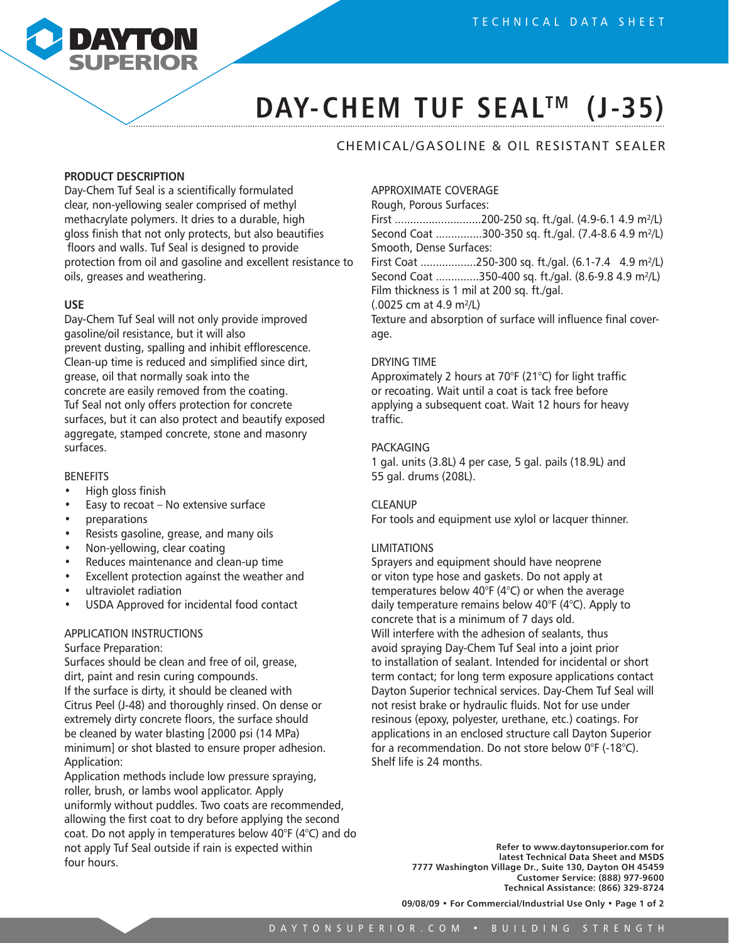

# DAY-CHEM TUF SEAL<sup>™</sup> (J-35)

### CHEMICAL/GASOLINE & OIL RESISTANT SEALER

### **PRODUCT DESCRIPTION**

Day-Chem Tuf Seal is a scientifically formulated clear, non-yellowing sealer comprised of methyl methacrylate polymers. It dries to a durable, high gloss finish that not only protects, but also beautifies floors and walls. Tuf Seal is designed to provide protection from oil and gasoline and excellent resistance to oils, greases and weathering.

#### **USE**

Day-Chem Tuf Seal will not only provide improved gasoline/oil resistance, but it will also prevent dusting, spalling and inhibit efflorescence. Clean-up time is reduced and simplified since dirt, grease, oil that normally soak into the concrete are easily removed from the coating. Tuf Seal not only offers protection for concrete surfaces, but it can also protect and beautify exposed aggregate, stamped concrete, stone and masonry surfaces.

#### BENEFITS

- High gloss finish
- Easy to recoat No extensive surface
- preparations
- Resists gasoline, grease, and many oils
- Non-yellowing, clear coating
- Reduces maintenance and clean-up time
- Excellent protection against the weather and
- ultraviolet radiation
- USDA Approved for incidental food contact

#### APPLICATION INSTRUCTIONS

#### Surface Preparation:

Surfaces should be clean and free of oil, grease, dirt, paint and resin curing compounds. If the surface is dirty, it should be cleaned with Citrus Peel (J-48) and thoroughly rinsed. On dense or extremely dirty concrete floors, the surface should be cleaned by water blasting [2000 psi (14 MPa) minimum] or shot blasted to ensure proper adhesion. Application:

Application methods include low pressure spraying, roller, brush, or lambs wool applicator. Apply uniformly without puddles. Two coats are recommended, allowing the first coat to dry before applying the second coat. Do not apply in temperatures below 40°F (4°C) and do not apply Tuf Seal outside if rain is expected within four hours.

#### APPROXIMATE COVERAGE

Rough, Porous Surfaces:

First ............................200-250 sq. ft./gal. (4.9-6.1 4.9 m²/L) Second Coat ...............300-350 sq. ft./gal. (7.4-8.6 4.9 m²/L) Smooth, Dense Surfaces:

First Coat ..................250-300 sq. ft./gal. (6.1-7.4 4.9 m²/L) Second Coat ..............350-400 sq. ft./gal. (8.6-9.8 4.9 m²/L) Film thickness is 1 mil at 200 sq. ft./gal.

(.0025 cm at 4.9 m²/L)

Texture and absorption of surface will influence final coverage.

#### DRYING TIME

Approximately 2 hours at 70°F (21°C) for light traffic or recoating. Wait until a coat is tack free before applying a subsequent coat. Wait 12 hours for heavy traffic.

#### PACKAGING

1 gal. units (3.8L) 4 per case, 5 gal. pails (18.9L) and 55 gal. drums (208L).

#### CLEANUP

For tools and equipment use xylol or lacquer thinner.

#### LIMITATIONS

Sprayers and equipment should have neoprene or viton type hose and gaskets. Do not apply at temperatures below 40°F (4°C) or when the average daily temperature remains below 40°F (4°C). Apply to concrete that is a minimum of 7 days old. Will interfere with the adhesion of sealants, thus avoid spraying Day-Chem Tuf Seal into a joint prior to installation of sealant. Intended for incidental or short term contact; for long term exposure applications contact Dayton Superior technical services. Day-Chem Tuf Seal will not resist brake or hydraulic fluids. Not for use under resinous (epoxy, polyester, urethane, etc.) coatings. For applications in an enclosed structure call Dayton Superior for a recommendation. Do not store below 0°F (-18°C). Shelf life is 24 months.

> **Refer to www.daytonsuperior.com for latest Technical Data Sheet and MSDS 7777 Washington Village Dr., Suite 130, Dayton OH 45459 Customer Service: (888) 977-9600 Technical Assistance: (866) 329-8724**

**09/08/09 • For Commercial/Industrial Use Only • Page 1 of 2**